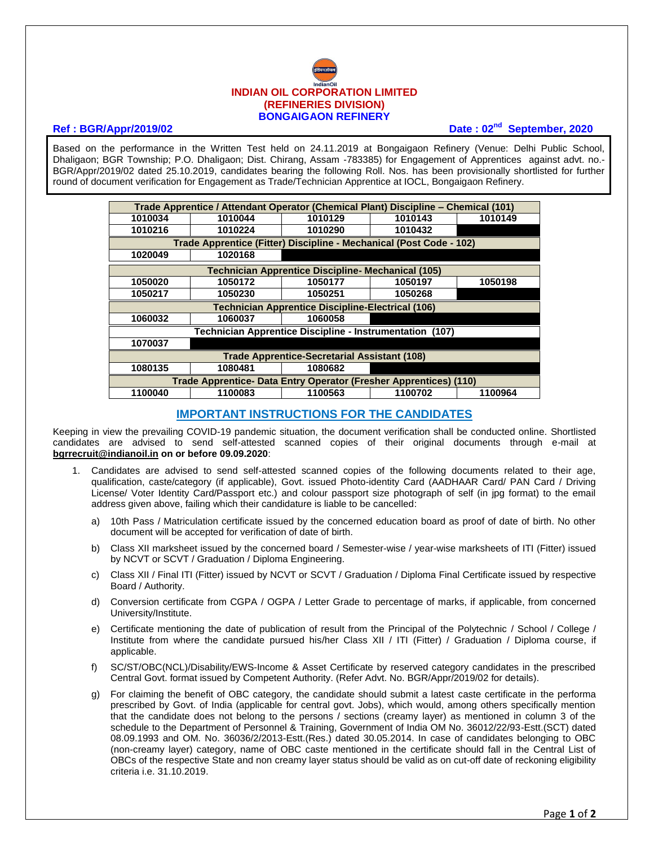

## **Ref : BGR/Appr/2019/02 Date : 02<sup>nd</sup> September, 2020**

Based on the performance in the Written Test held on 24.11.2019 at Bongaigaon Refinery (Venue: Delhi Public School, Dhaligaon; BGR Township; P.O. Dhaligaon; Dist. Chirang, Assam -783385) for Engagement of Apprentices against advt. no.- BGR/Appr/2019/02 dated 25.10.2019, candidates bearing the following Roll. Nos. has been provisionally shortlisted for further round of document verification for Engagement as Trade/Technician Apprentice at IOCL, Bongaigaon Refinery.

| Trade Apprentice / Attendant Operator (Chemical Plant) Discipline - Chemical (101) |         |         |         |         |
|------------------------------------------------------------------------------------|---------|---------|---------|---------|
| 1010034                                                                            | 1010044 | 1010129 | 1010143 | 1010149 |
| 1010216                                                                            | 1010224 | 1010290 | 1010432 |         |
| Trade Apprentice (Fitter) Discipline - Mechanical (Post Code - 102)                |         |         |         |         |
| 1020049                                                                            | 1020168 |         |         |         |
| <b>Technician Apprentice Discipline- Mechanical (105)</b>                          |         |         |         |         |
| 1050020                                                                            | 1050172 | 1050177 | 1050197 | 1050198 |
| 1050217                                                                            | 1050230 | 1050251 | 1050268 |         |
| <b>Technician Apprentice Discipline-Electrical (106)</b>                           |         |         |         |         |
| 1060032                                                                            | 1060037 | 1060058 |         |         |
| <b>Technician Apprentice Discipline - Instrumentation (107)</b>                    |         |         |         |         |
| 1070037                                                                            |         |         |         |         |
| <b>Trade Apprentice-Secretarial Assistant (108)</b>                                |         |         |         |         |
| 1080135                                                                            | 1080481 | 1080682 |         |         |
| Trade Apprentice- Data Entry Operator (Fresher Apprentices) (110)                  |         |         |         |         |
| 1100040                                                                            | 1100083 | 1100563 | 1100702 | 1100964 |

## **IMPORTANT INSTRUCTIONS FOR THE CANDIDATES**

Keeping in view the prevailing COVID-19 pandemic situation, the document verification shall be conducted online. Shortlisted candidates are advised to send self-attested scanned copies of their original documents through e-mail at **[bgrrecruit@indianoil.in](mailto:bgrrecruit@indianoil.in) on or before 09.09.2020**:

- 1. Candidates are advised to send self-attested scanned copies of the following documents related to their age, qualification, caste/category (if applicable), Govt. issued Photo-identity Card (AADHAAR Card/ PAN Card / Driving License/ Voter Identity Card/Passport etc.) and colour passport size photograph of self (in jpg format) to the email address given above, failing which their candidature is liable to be cancelled:
	- a) 10th Pass / Matriculation certificate issued by the concerned education board as proof of date of birth. No other document will be accepted for verification of date of birth.
	- b) Class XII marksheet issued by the concerned board / Semester-wise / year-wise marksheets of ITI (Fitter) issued by NCVT or SCVT / Graduation / Diploma Engineering.
	- c) Class XII / Final ITI (Fitter) issued by NCVT or SCVT / Graduation / Diploma Final Certificate issued by respective Board / Authority.
	- d) Conversion certificate from CGPA / OGPA / Letter Grade to percentage of marks, if applicable, from concerned University/Institute.
	- e) Certificate mentioning the date of publication of result from the Principal of the Polytechnic / School / College / Institute from where the candidate pursued his/her Class XII / ITI (Fitter) / Graduation / Diploma course, if applicable.
	- f) SC/ST/OBC(NCL)/Disability/EWS-Income & Asset Certificate by reserved category candidates in the prescribed Central Govt. format issued by Competent Authority. (Refer Advt. No. BGR/Appr/2019/02 for details).
	- g) For claiming the benefit of OBC category, the candidate should submit a latest caste certificate in the performa prescribed by Govt. of India (applicable for central govt. Jobs), which would, among others specifically mention that the candidate does not belong to the persons / sections (creamy layer) as mentioned in column 3 of the schedule to the Department of Personnel & Training, Government of India OM No. 36012/22/93-Estt.(SCT) dated 08.09.1993 and OM. No. 36036/2/2013-Estt.(Res.) dated 30.05.2014. In case of candidates belonging to OBC (non-creamy layer) category, name of OBC caste mentioned in the certificate should fall in the Central List of OBCs of the respective State and non creamy layer status should be valid as on cut-off date of reckoning eligibility criteria i.e. 31.10.2019.